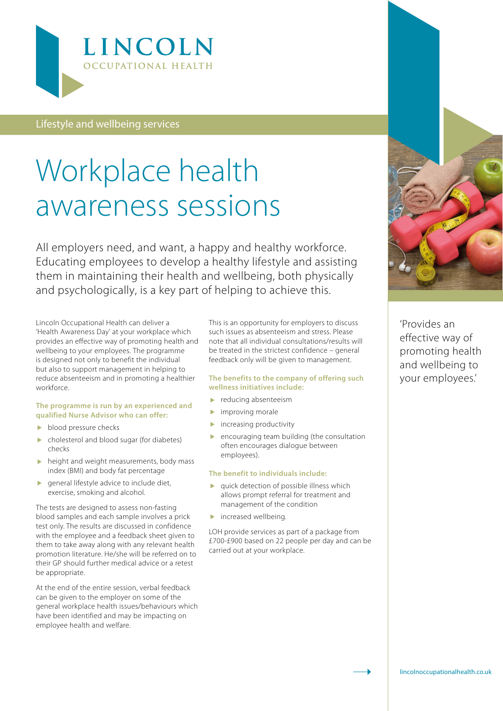

Lifestyle and wellbeing services

# Workplace health awareness sessions

All employers need, and want, a happy and healthy workforce. Educating employees to develop a healthy lifestyle and assisting them in maintaining their health and wellbeing, both physically and psychologically, is a key part of helping to achieve this.

Lincoln Occupational Health can deliver a 'Health Awareness Day' at your workplace which provides an effective way of promoting health and wellbeing to your employees. The programme is designed not only to benefit the individual but also to support management in helping to reduce absenteeism and in promoting a healthier workforce.

#### **The programme is run by an experienced and qualified Nurse Advisor who can offer:**

- blood pressure checks
- cholesterol and blood sugar (for diabetes) checks
- $\blacktriangleright$  height and weight measurements, body mass index (BMI) and body fat percentage
- $\blacktriangleright$  general lifestyle advice to include diet, exercise, smoking and alcohol.

The tests are designed to assess non-fasting blood samples and each sample involves a prick test only. The results are discussed in confidence with the employee and a feedback sheet given to them to take away along with any relevant health promotion literature. He/she will be referred on to their GP should further medical advice or a retest be appropriate.

At the end of the entire session, verbal feedback can be given to the employer on some of the general workplace health issues/behaviours which have been identified and may be impacting on employee health and welfare.

This is an opportunity for employers to discuss such issues as absenteeism and stress. Please note that all individual consultations/results will be treated in the strictest confidence – general feedback only will be given to management.

#### **The benefits to the company of offering such wellness initiatives include:**

- reducing absenteeism
- **improving morale**
- **increasing productivity**
- encouraging team building (the consultation often encourages dialogue between employees).

#### **The benefit to individuals include:**

- **p** quick detection of possible illness which allows prompt referral for treatment and management of the condition
- **increased wellbeing.**

LOH provide services as part of a package from £700-£900 based on 22 people per day and can be carried out at your workplace.



'Provides an effective way of promoting health and wellbeing to your employees.'

[lincolnoccupationalhealth.co.uk](http://www.edwincoe.com/)